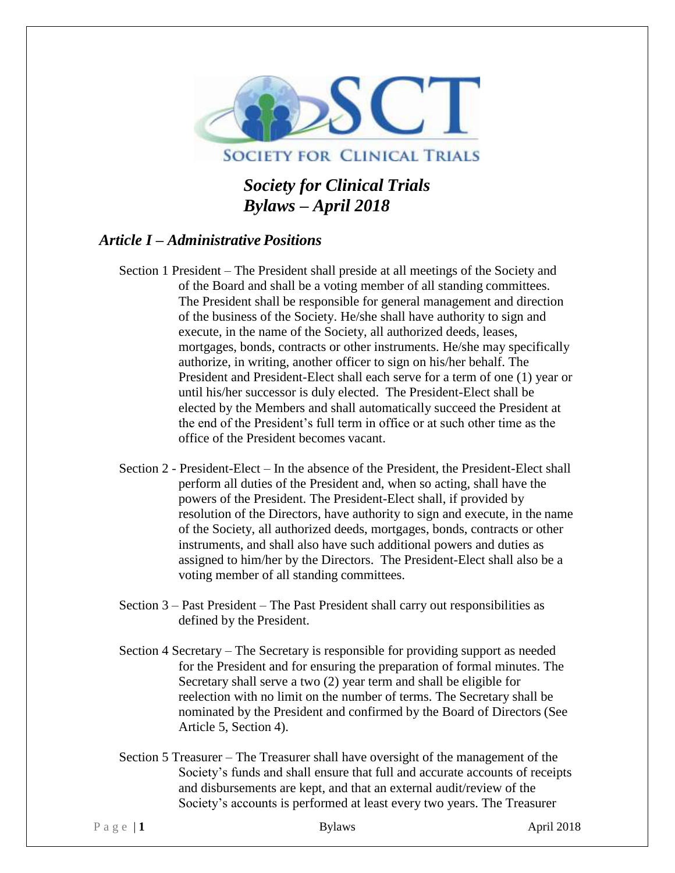

# **SOCIETY FOR CLINICAL TRIALS**

*Society for Clinical Trials Bylaws – April 2018*

# *Article I – Administrative Positions*

- Section 1 President The President shall preside at all meetings of the Society and of the Board and shall be a voting member of all standing committees. The President shall be responsible for general management and direction of the business of the Society. He/she shall have authority to sign and execute, in the name of the Society, all authorized deeds, leases, mortgages, bonds, contracts or other instruments. He/she may specifically authorize, in writing, another officer to sign on his/her behalf. The President and President-Elect shall each serve for a term of one (1) year or until his/her successor is duly elected. The President-Elect shall be elected by the Members and shall automatically succeed the President at the end of the President's full term in office or at such other time as the office of the President becomes vacant.
- Section 2 President-Elect In the absence of the President, the President-Elect shall perform all duties of the President and, when so acting, shall have the powers of the President. The President-Elect shall, if provided by resolution of the Directors, have authority to sign and execute, in the name of the Society, all authorized deeds, mortgages, bonds, contracts or other instruments, and shall also have such additional powers and duties as assigned to him/her by the Directors. The President-Elect shall also be a voting member of all standing committees.
- Section 3 Past President The Past President shall carry out responsibilities as defined by the President.
- Section 4 Secretary The Secretary is responsible for providing support as needed for the President and for ensuring the preparation of formal minutes. The Secretary shall serve a two (2) year term and shall be eligible for reelection with no limit on the number of terms. The Secretary shall be nominated by the President and confirmed by the Board of Directors (See Article 5, Section 4).
- Section 5 Treasurer The Treasurer shall have oversight of the management of the Society's funds and shall ensure that full and accurate accounts of receipts and disbursements are kept, and that an external audit/review of the Society's accounts is performed at least every two years. The Treasurer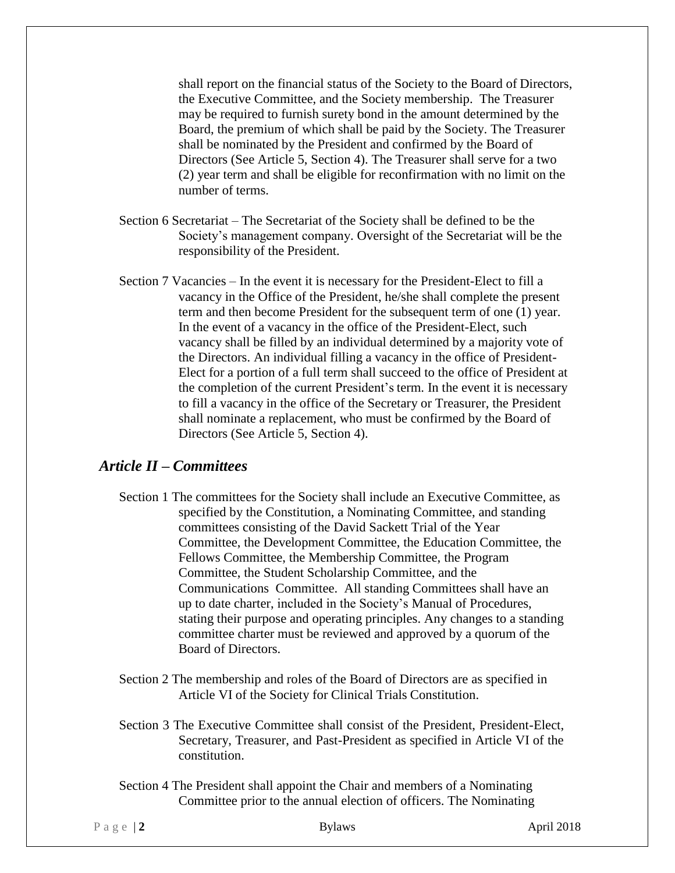shall report on the financial status of the Society to the Board of Directors, the Executive Committee, and the Society membership. The Treasurer may be required to furnish surety bond in the amount determined by the Board, the premium of which shall be paid by the Society. The Treasurer shall be nominated by the President and confirmed by the Board of Directors (See Article 5, Section 4). The Treasurer shall serve for a two (2) year term and shall be eligible for reconfirmation with no limit on the number of terms.

- Section 6 Secretariat The Secretariat of the Society shall be defined to be the Society's management company. Oversight of the Secretariat will be the responsibility of the President.
- Section 7 Vacancies In the event it is necessary for the President-Elect to fill a vacancy in the Office of the President, he/she shall complete the present term and then become President for the subsequent term of one (1) year. In the event of a vacancy in the office of the President-Elect, such vacancy shall be filled by an individual determined by a majority vote of the Directors. An individual filling a vacancy in the office of President-Elect for a portion of a full term shall succeed to the office of President at the completion of the current President's term. In the event it is necessary to fill a vacancy in the office of the Secretary or Treasurer, the President shall nominate a replacement, who must be confirmed by the Board of Directors (See Article 5, Section 4).

#### *Article II – Committees*

- Section 1 The committees for the Society shall include an Executive Committee, as specified by the Constitution, a Nominating Committee, and standing committees consisting of the David Sackett Trial of the Year Committee, the Development Committee, the Education Committee, the Fellows Committee, the Membership Committee, the Program Committee, the Student Scholarship Committee, and the Communications Committee. All standing Committees shall have an up to date charter, included in the Society's Manual of Procedures, stating their purpose and operating principles. Any changes to a standing committee charter must be reviewed and approved by a quorum of the Board of Directors.
- Section 2 The membership and roles of the Board of Directors are as specified in Article VI of the Society for Clinical Trials Constitution.
- Section 3 The Executive Committee shall consist of the President, President-Elect, Secretary, Treasurer, and Past-President as specified in Article VI of the constitution.
- Section 4 The President shall appoint the Chair and members of a Nominating Committee prior to the annual election of officers. The Nominating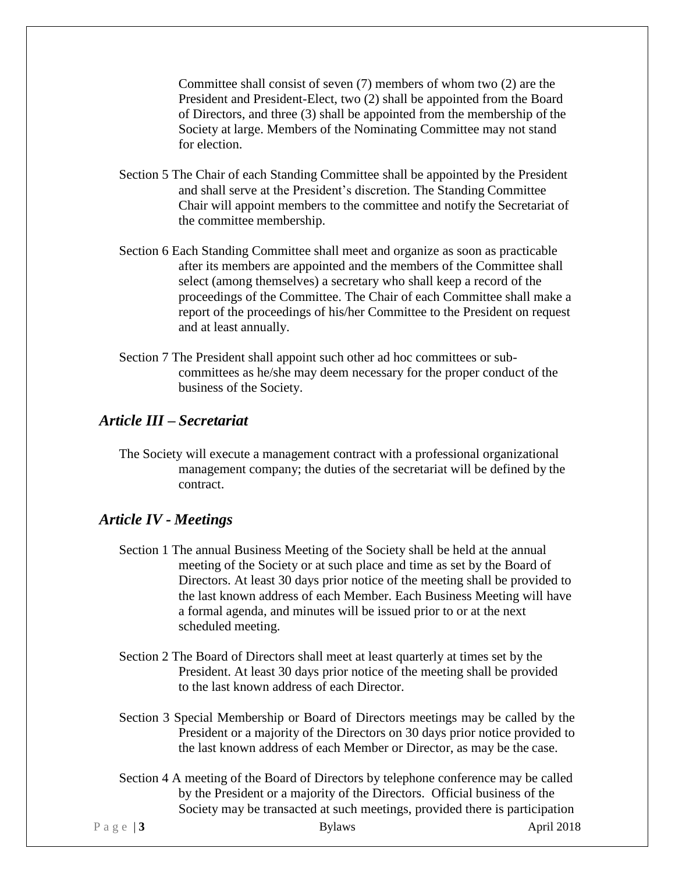Committee shall consist of seven (7) members of whom two (2) are the President and President-Elect, two (2) shall be appointed from the Board of Directors, and three (3) shall be appointed from the membership of the Society at large. Members of the Nominating Committee may not stand for election.

- Section 5 The Chair of each Standing Committee shall be appointed by the President and shall serve at the President's discretion. The Standing Committee Chair will appoint members to the committee and notify the Secretariat of the committee membership.
- Section 6 Each Standing Committee shall meet and organize as soon as practicable after its members are appointed and the members of the Committee shall select (among themselves) a secretary who shall keep a record of the proceedings of the Committee. The Chair of each Committee shall make a report of the proceedings of his/her Committee to the President on request and at least annually.
- Section 7 The President shall appoint such other ad hoc committees or subcommittees as he/she may deem necessary for the proper conduct of the business of the Society.

# *Article III – Secretariat*

The Society will execute a management contract with a professional organizational management company; the duties of the secretariat will be defined by the contract.

#### *Article IV - Meetings*

- Section 1 The annual Business Meeting of the Society shall be held at the annual meeting of the Society or at such place and time as set by the Board of Directors. At least 30 days prior notice of the meeting shall be provided to the last known address of each Member. Each Business Meeting will have a formal agenda, and minutes will be issued prior to or at the next scheduled meeting.
- Section 2 The Board of Directors shall meet at least quarterly at times set by the President. At least 30 days prior notice of the meeting shall be provided to the last known address of each Director.
- Section 3 Special Membership or Board of Directors meetings may be called by the President or a majority of the Directors on 30 days prior notice provided to the last known address of each Member or Director, as may be the case.
- Section 4 A meeting of the Board of Directors by telephone conference may be called by the President or a majority of the Directors. Official business of the Society may be transacted at such meetings, provided there is participation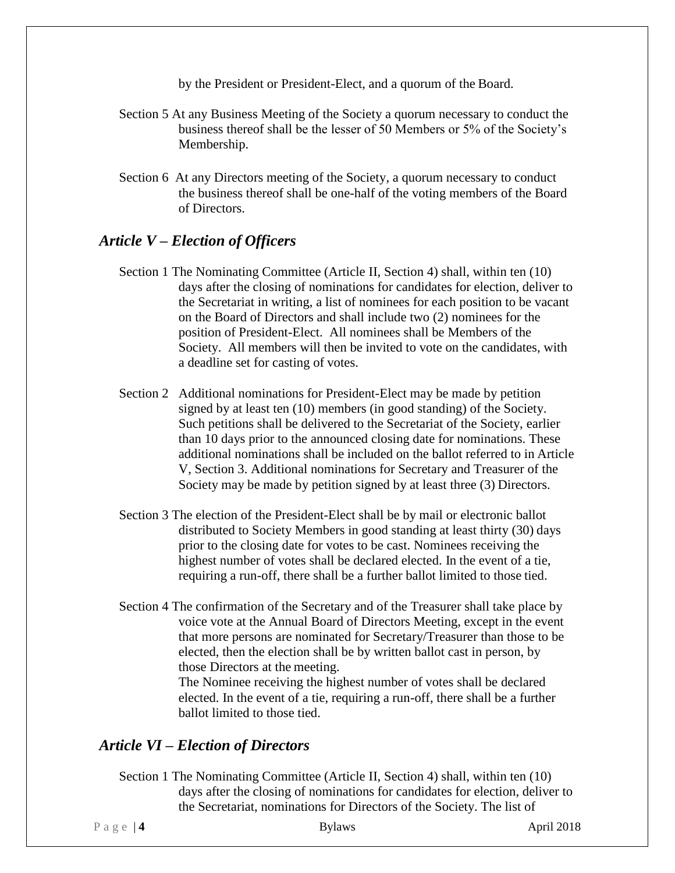by the President or President-Elect, and a quorum of the Board.

- Section 5 At any Business Meeting of the Society a quorum necessary to conduct the business thereof shall be the lesser of 50 Members or 5% of the Society's Membership.
- Section 6 At any Directors meeting of the Society, a quorum necessary to conduct the business thereof shall be one-half of the voting members of the Board of Directors.

#### *Article V – Election of Officers*

- Section 1 The Nominating Committee (Article II, Section 4) shall, within ten (10) days after the closing of nominations for candidates for election, deliver to the Secretariat in writing, a list of nominees for each position to be vacant on the Board of Directors and shall include two (2) nominees for the position of President-Elect. All nominees shall be Members of the Society. All members will then be invited to vote on the candidates, with a deadline set for casting of votes.
- Section 2 Additional nominations for President-Elect may be made by petition signed by at least ten (10) members (in good standing) of the Society. Such petitions shall be delivered to the Secretariat of the Society, earlier than 10 days prior to the announced closing date for nominations. These additional nominations shall be included on the ballot referred to in Article V, Section 3. Additional nominations for Secretary and Treasurer of the Society may be made by petition signed by at least three (3) Directors.
- Section 3 The election of the President-Elect shall be by mail or electronic ballot distributed to Society Members in good standing at least thirty (30) days prior to the closing date for votes to be cast. Nominees receiving the highest number of votes shall be declared elected. In the event of a tie, requiring a run-off, there shall be a further ballot limited to those tied.
- Section 4 The confirmation of the Secretary and of the Treasurer shall take place by voice vote at the Annual Board of Directors Meeting, except in the event that more persons are nominated for Secretary/Treasurer than those to be elected, then the election shall be by written ballot cast in person, by those Directors at the meeting. The Nominee receiving the highest number of votes shall be declared elected. In the event of a tie, requiring a run-off, there shall be a further ballot limited to those tied.

#### *Article VI – Election of Directors*

Section 1 The Nominating Committee (Article II, Section 4) shall, within ten (10) days after the closing of nominations for candidates for election, deliver to the Secretariat, nominations for Directors of the Society. The list of